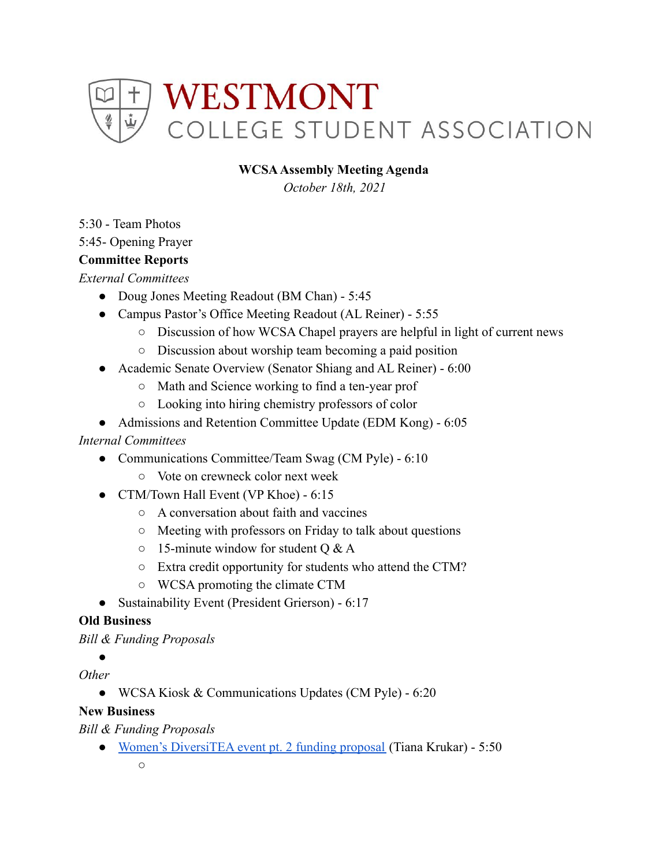

#### **WCSAAssembly Meeting Agenda**

*October 18th, 2021*

5:30 - Team Photos

5:45- Opening Prayer

#### **Committee Reports**

*External Committees*

- Doug Jones Meeting Readout (BM Chan) 5:45
- Campus Pastor's Office Meeting Readout (AL Reiner) 5:55
	- Discussion of how WCSA Chapel prayers are helpful in light of current news
	- Discussion about worship team becoming a paid position
- Academic Senate Overview (Senator Shiang and AL Reiner) 6:00
	- Math and Science working to find a ten-year prof
	- Looking into hiring chemistry professors of color
- Admissions and Retention Committee Update (EDM Kong) 6:05

#### *Internal Committees*

- Communications Committee/Team Swag (CM Pyle) 6:10
	- Vote on crewneck color next week
- CTM/Town Hall Event (VP Khoe) 6:15
	- A conversation about faith and vaccines
	- Meeting with professors on Friday to talk about questions
	- $\circ$  15-minute window for student O & A
	- Extra credit opportunity for students who attend the CTM?
	- WCSA promoting the climate CTM
- Sustainability Event (President Grierson) 6:17

#### **Old Business**

*Bill & Funding Proposals*

**。** 

*Other*

● WCSA Kiosk & Communications Updates (CM Pyle) - 6:20

#### **New Business**

*Bill & Funding Proposals*

● [Women's DiversiTEA event pt. 2 funding proposal](https://drive.google.com/drive/u/0/folders/1lpBa9euwGHKuq9cLARjDbQxYBe7GiNRT) (Tiana Krukar) - 5:50